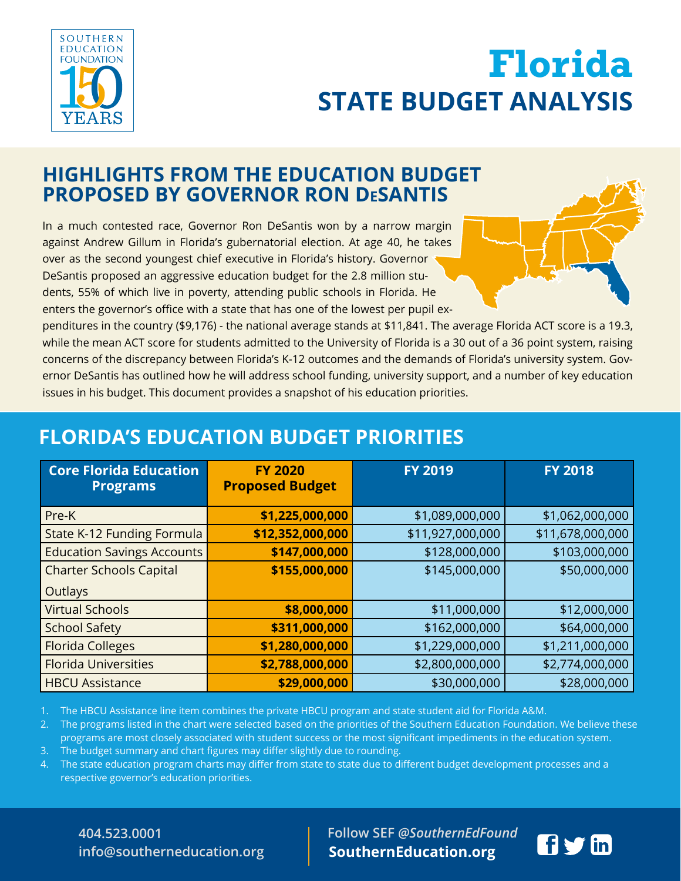

# **STATE BUDGET ANALYSIS** Elorida<br>BURGET ANALYGIS **INITIATIVE STATE BUDGET ANALYSIS Florida**

## **HIGHLIGHTS FROM THE EDUCATION BUDGET PROPOSED BY GOVERNOR RON DeSANTIS**

In a much contested race, Governor Ron DeSantis won by a narrow margin against Andrew Gillum in Florida's gubernatorial election. At age 40, he takes over as the second youngest chief executive in Florida's history. Governor DeSantis proposed an aggressive education budget for the 2.8 million students, 55% of which live in poverty, attending public schools in Florida. He enters the governor's office with a state that has one of the lowest per pupil ex-



penditures in the country (\$9,176) - the national average stands at \$11,841. The average Florida ACT score is a 19.3, while the mean ACT score for students admitted to the University of Florida is a 30 out of a 36 point system, raising concerns of the discrepancy between Florida's K-12 outcomes and the demands of Florida's university system. Governor DeSantis has outlined how he will address school funding, university support, and a number of key education issues in his budget. This document provides a snapshot of his education priorities.

## **FLORIDA'S EDUCATION BUDGET PRIORITIES**

| <b>Core Florida Education</b><br><b>Programs</b> | <b>FY 2020</b><br><b>Proposed Budget</b> | <b>FY 2019</b>   | <b>FY 2018</b>   |
|--------------------------------------------------|------------------------------------------|------------------|------------------|
| Pre-K                                            | \$1,225,000,000                          | \$1,089,000,000  | \$1,062,000,000  |
| State K-12 Funding Formula                       | \$12,352,000,000                         | \$11,927,000,000 | \$11,678,000,000 |
| <b>Education Savings Accounts</b>                | \$147,000,000                            | \$128,000,000    | \$103,000,000    |
| <b>Charter Schools Capital</b>                   | \$155,000,000                            | \$145,000,000    | \$50,000,000     |
| Outlays                                          |                                          |                  |                  |
| <b>Virtual Schools</b>                           | \$8,000,000                              | \$11,000,000     | \$12,000,000     |
| <b>School Safety</b>                             | \$311,000,000                            | \$162,000,000    | \$64,000,000     |
| <b>Florida Colleges</b>                          | \$1,280,000,000                          | \$1,229,000,000  | \$1,211,000,000  |
| <b>Florida Universities</b>                      | \$2,788,000,000                          | \$2,800,000,000  | \$2,774,000,000  |
| <b>HBCU Assistance</b>                           | \$29,000,000                             | \$30,000,000     | \$28,000,000     |

1. The HBCU Assistance line item combines the private HBCU program and state student aid for Florida A&M.

2. The programs listed in the chart were selected based on the priorities of the Southern Education Foundation. We believe these programs are most closely associated with student success or the most significant impediments in the education system.

- 3. The budget summary and chart figures may differ slightly due to rounding.
- 4. The state education program charts may differ from state to state due to different budget development processes and a respective governor's education priorities.

### **404.523.0001 info@southerneducation.org**

 **Follow SEF** *@SouthernEdFound* **SouthernEducation.org**